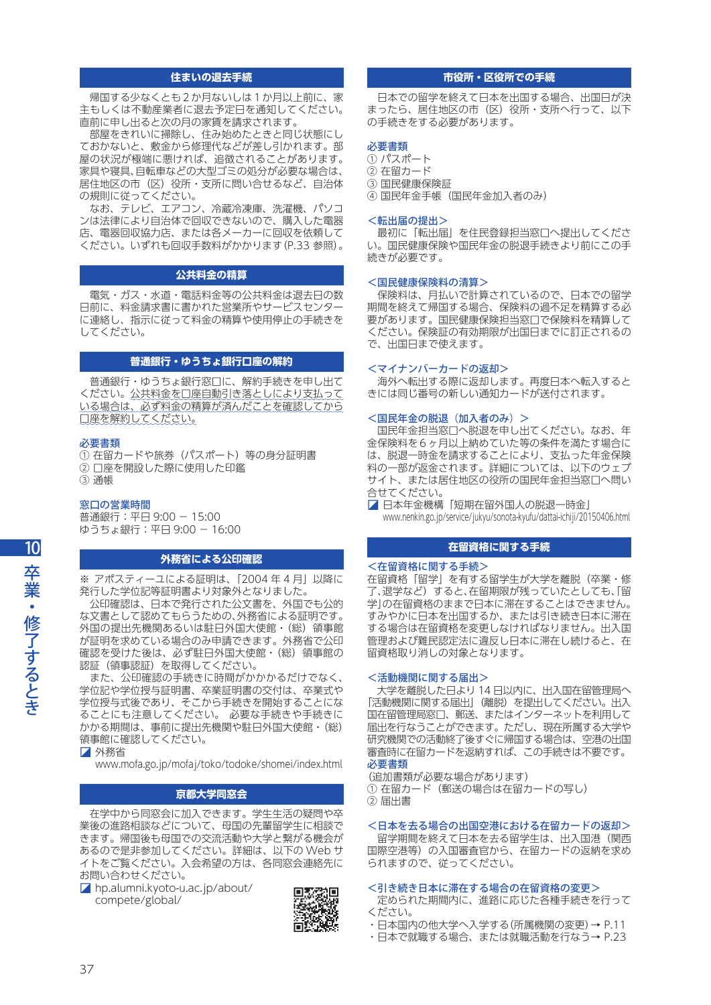# **住まいの退去手続**

 帰国する少なくとも2か月ないしは1か月以上前に、家 主もしくは不動産業者に退去予定日を通知してください。 直前に申し出ると次の月の家賃を請求されます。

 部屋をきれいに掃除し、住み始めたときと同じ状態にし ておかないと、敷金から修理代などが差し引かれます。部 屋の状況が極端に悪ければ、追徴されることがあります。 家具や寝具、自転車などの大型ゴミの処分が必要な場合は、 居住地区の市(区)役所・支所に問い合せるなど、自治体 の規則に従ってください。

 なお、テレビ、エアコン、冷蔵冷凍庫、洗濯機、パソコ ンは法律により自治体で回収できないので、購入した電器 店、電器回収協力店、または各メーカーに回収を依頼して ください。いずれも回収手数料がかかります(P.33 参照)。

# **公共料金の精算**

 電気・ガス・水道・電話料金等の公共料金は退去日の数 日前に、料金請求書に書かれた営業所やサービスセンター に連絡し、指示に従って料金の精算や使用停止の手続きを してください。

# **普通銀行・ゆうちょ銀行口座の解約**

 普通銀行・ゆうちょ銀行窓口に、解約手続きを申し出て ください。公共料金を口座自動引き落としにより支払って いる場合は、必ず料金の精算が済んだことを確認してから 口座を解約してください。

#### 必要書類

① 在留カードや旅券(パスポート)等の身分証明書 ② 口座を開設した際に使用した印鑑 ③ 通帳

## 窓口の営業時間

普通銀行:平日 9:00 - 15:00 ゆうちょ銀行:平日 9:00 - 16:00

# **外務省による公印確認**

※ アポスティーユによる証明は、「2004 年 4 月」以降に 発行した学位記等証明書より対象外となりました。

 公印確認は、日本で発行された公文書を、外国でも公的 な文書として認めてもらうための、外務省による証明です。 外国の提出先機関あるいは駐日外国大使館·(総)領事館 が証明を求めている場合のみ申請できます。外務省で公印 確認を受けた後は、必ず駐日外国大使館·(総)領事館の 認証(領事認証)を取得してください。

 また、公印確認の手続きに時間がかかかるだけでなく、 学位記や学位授与証明書、卒業証明書の交付は、卒業式や 学位授与式後であり、そこから手続きを開始することにな ることにも注意してください。 必要な手続きや手続きに かかる期間は、事前に提出先機関や駐日外国大使館・(総) 領事館に確認してください。

◪ 外務省

www.mofa.go.jp/mofaj/toko/todoke/shomei/index.html

# **京都大学同窓会**

 在学中から同窓会に加入できます。学生生活の疑問や卒 業後の進路相談などについて、母国の先輩留学生に相談で きます。帰国後も母国での交流活動や大学と繋がる機会が あるので是非参加してください。詳細は、以下の Web サ イトをご覧ください。入会希望の方は、各同窓会連絡先に お問い合わせください。

◪ hp.alumni.kyoto-u.ac.jp/about/ compete/global/



# **市役所・区役所での手続**

 日本での留学を終えて日本を出国する場合、出国日が決 まったら、居住地区の市(区)役所・支所へ行って、以下 の手続きをする必要があります。

## 必要書類

- ① パスポート
- ② 在留カード
- ③ 国民健康保険証
- ④ 国民年金手帳(国民年金加入者のみ)

#### <転出届の提出>

 最初に「転出届」を住民登録担当窓口へ提出してくださ い。国民健康保険や国民年金の脱退手続きより前にこの手 続きが必要です。

## <国民健康保険料の清算>

 保険料は、月払いで計算されているので、日本での留学 期間を終えて帰国する場合、保険料の過不足を精算する必 要があります。国民健康保険担当窓口で保険料を精算して ください。保険証の有効期限が出国日までに訂正されるの で、出国日まで使えます。

#### <マイナンバーカードの返却>

 海外へ転出する際に返却します。再度日本へ転入すると きには同じ番号の新しい通知カードが送付されます。

#### <国民年金の脱退(加入者のみ)>

 国民年金担当窓口へ脱退を申し出てください。なお、年 金保険料を6ヶ月以上納めていた等の条件を満たす場合に は、脱退一時金を請求することにより、支払った年金保険 。<br>料の一部が返金されます。詳細については、以下のウェブ サイト、または居住地区の役所の国民年金担当窓口へ問い 合せてください。

■ 日本年金機構「短期在留外国人の脱退一時金」 www.nenkin.go.jp/service/jukyu/sonota-kyufu/dattai-ichiji/20150406.html

# **在留資格に関する手続**

#### <在留資格に関する手続>

在留資格「留学」を有する留学生が大学を離脱(卒業・修 了、退学など)すると、在留期限が残っていたとしても、「留 学」の在留資格のままで日本に滞在することはできません。 すみやかに日本を出国するか、または引き続き日本に滞在 する場合は在留資格を変更しなければなりません。出入国 管理および難民認定法に違反し日本に滞在し続けると、在 留資格取り消しの対象となります。

#### <活動機関に関する届出>

 大学を離脱した日より 14 日以内に、出入国在留管理局へ 「活動機関に関する届出」(離脱)を提出してください。出入 国在留管理局窓口、郵送、またはインターネットを利用して 届出を行なうことができます。ただし、現在所属する大学や 研究機関での活動終了後すぐに帰国する場合は、空港の出国 審査時に在留カードを返納すれば、この手続きは不要です。 必要書類

(追加書類が必要な場合があります)

① 在留カード(郵送の場合は在留カードの写し) ② 届出書

## <日本を去る場合の出国空港における在留カードの返却>

留学期間を終えて日本を去る留学生は、出入国港(関西 国際空港等)の入国審査官から、在留カードの返納を求め られますので、従ってください。

## <引き続き日本に滞在する場合の在留資格の変更>

 定められた期間内に、進路に応じた各種手続きを行って ください。

- ・日本国内の他大学へ入学する(所属機関の変更)→ P.11
- ・日本で就職する場合、または就職活動を行なう→ P.23